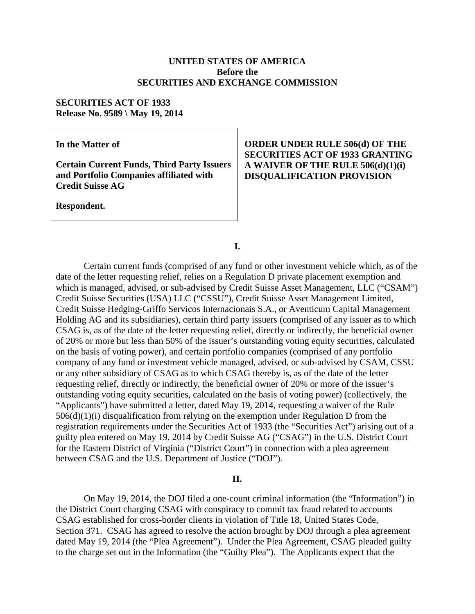## **UNITED STATES OF AMERICA Before the SECURITIES AND EXCHANGE COMMISSION**

#### **SECURITIES ACT OF 1933 Release No. 9589 \ May 19, 2014**

**In the Matter of**

**Certain Current Funds, Third Party Issuers and Portfolio Companies affiliated with Credit Suisse AG**

**Respondent.**

# **ORDER UNDER RULE 506(d) OF THE SECURITIES ACT OF 1933 GRANTING A WAIVER OF THE RULE 506(d)(1)(i) DISQUALIFICATION PROVISION**

**I.**

Certain current funds (comprised of any fund or other investment vehicle which, as of the date of the letter requesting relief, relies on a Regulation D private placement exemption and which is managed, advised, or sub-advised by Credit Suisse Asset Management, LLC ("CSAM") Credit Suisse Securities (USA) LLC ("CSSU"), Credit Suisse Asset Management Limited, Credit Suisse Hedging-Griffo Servicos Internacionais S.A., or Aventicum Capital Management Holding AG and its subsidiaries), certain third party issuers (comprised of any issuer as to which CSAG is, as of the date of the letter requesting relief, directly or indirectly, the beneficial owner of 20% or more but less than 50% of the issuer's outstanding voting equity securities, calculated on the basis of voting power), and certain portfolio companies (comprised of any portfolio company of any fund or investment vehicle managed, advised, or sub-advised by CSAM, CSSU or any other subsidiary of CSAG as to which CSAG thereby is, as of the date of the letter requesting relief, directly or indirectly, the beneficial owner of 20% or more of the issuer's outstanding voting equity securities, calculated on the basis of voting power) (collectively, the "Applicants") have submitted a letter, dated May 19, 2014, requesting a waiver of the Rule 506(d)(1)(i) disqualification from relying on the exemption under Regulation D from the registration requirements under the Securities Act of 1933 (the "Securities Act") arising out of a guilty plea entered on May 19, 2014 by Credit Suisse AG ("CSAG") in the U.S. District Court for the Eastern District of Virginia ("District Court") in connection with a plea agreement between CSAG and the U.S. Department of Justice ("DOJ").

## **II.**

On May 19, 2014, the DOJ filed a one-count criminal information (the "Information") in the District Court charging CSAG with conspiracy to commit tax fraud related to accounts CSAG established for cross-border clients in violation of Title 18, United States Code, Section 371. CSAG has agreed to resolve the action brought by DOJ through a plea agreement dated May 19, 2014 (the "Plea Agreement"). Under the Plea Agreement, CSAG pleaded guilty to the charge set out in the Information (the "Guilty Plea"). The Applicants expect that the